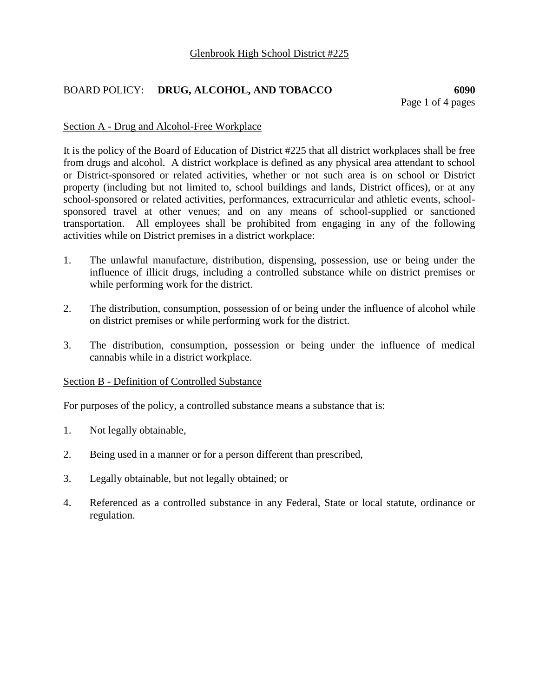# BOARD POLICY: **DRUG, ALCOHOL, AND TOBACCO 6090**

## Section A - Drug and Alcohol-Free Workplace

It is the policy of the Board of Education of District #225 that all district workplaces shall be free from drugs and alcohol. A district workplace is defined as any physical area attendant to school or District-sponsored or related activities, whether or not such area is on school or District property (including but not limited to, school buildings and lands, District offices), or at any school-sponsored or related activities, performances, extracurricular and athletic events, schoolsponsored travel at other venues; and on any means of school-supplied or sanctioned transportation. All employees shall be prohibited from engaging in any of the following activities while on District premises in a district workplace:

- 1. The unlawful manufacture, distribution, dispensing, possession, use or being under the influence of illicit drugs, including a controlled substance while on district premises or while performing work for the district.
- 2. The distribution, consumption, possession of or being under the influence of alcohol while on district premises or while performing work for the district.
- 3. The distribution, consumption, possession or being under the influence of medical cannabis while in a district workplace.

## Section B - Definition of Controlled Substance

For purposes of the policy, a controlled substance means a substance that is:

- 1. Not legally obtainable,
- 2. Being used in a manner or for a person different than prescribed,
- 3. Legally obtainable, but not legally obtained; or
- 4. Referenced as a controlled substance in any Federal, State or local statute, ordinance or regulation.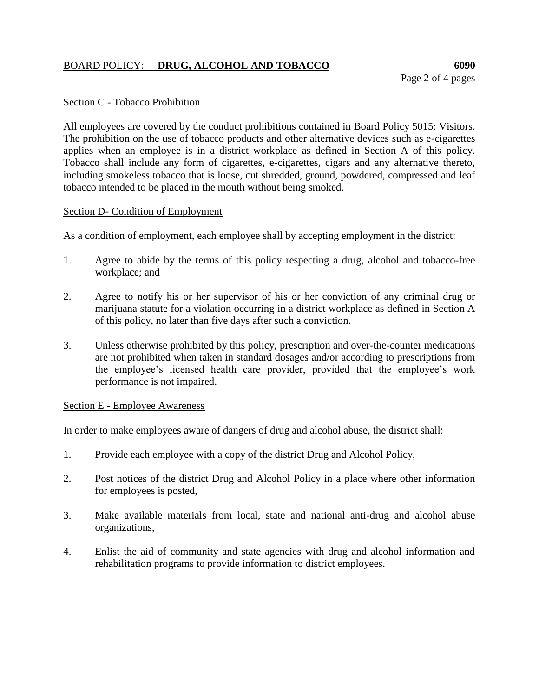# BOARD POLICY: **DRUG, ALCOHOL AND TOBACCO 6090**

## Section C - Tobacco Prohibition

All employees are covered by the conduct prohibitions contained in Board Policy 5015: Visitors. The prohibition on the use of tobacco products and other alternative devices such as e-cigarettes applies when an employee is in a district workplace as defined in Section A of this policy. Tobacco shall include any form of cigarettes, e-cigarettes, cigars and any alternative thereto, including smokeless tobacco that is loose, cut shredded, ground, powdered, compressed and leaf tobacco intended to be placed in the mouth without being smoked.

#### Section D- Condition of Employment

As a condition of employment, each employee shall by accepting employment in the district:

- 1. Agree to abide by the terms of this policy respecting a drug, alcohol and tobacco-free workplace; and
- 2. Agree to notify his or her supervisor of his or her conviction of any criminal drug or marijuana statute for a violation occurring in a district workplace as defined in Section A of this policy, no later than five days after such a conviction.
- 3. Unless otherwise prohibited by this policy, prescription and over-the-counter medications are not prohibited when taken in standard dosages and/or according to prescriptions from the employee's licensed health care provider, provided that the employee's work performance is not impaired.

#### Section E - Employee Awareness

In order to make employees aware of dangers of drug and alcohol abuse, the district shall:

- 1. Provide each employee with a copy of the district Drug and Alcohol Policy,
- 2. Post notices of the district Drug and Alcohol Policy in a place where other information for employees is posted,
- 3. Make available materials from local, state and national anti-drug and alcohol abuse organizations,
- 4. Enlist the aid of community and state agencies with drug and alcohol information and rehabilitation programs to provide information to district employees.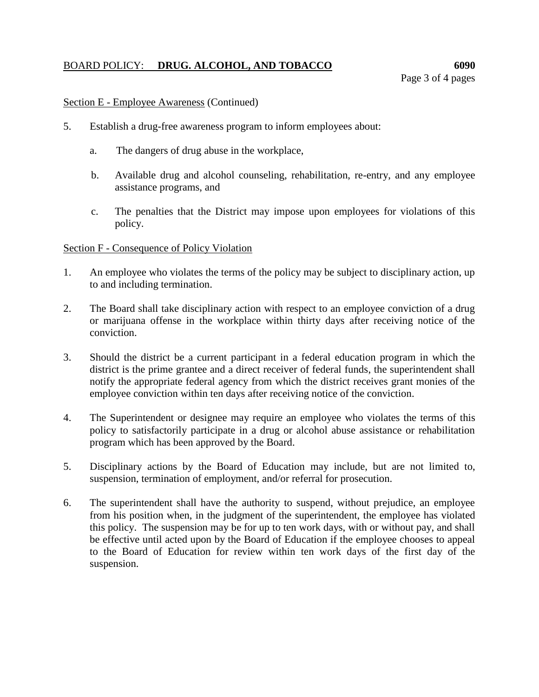## BOARD POLICY: **DRUG. ALCOHOL, AND TOBACCO** 6090

## Section E - Employee Awareness (Continued)

- 5. Establish a drug-free awareness program to inform employees about:
	- a. The dangers of drug abuse in the workplace,
	- b. Available drug and alcohol counseling, rehabilitation, re-entry, and any employee assistance programs, and
	- c. The penalties that the District may impose upon employees for violations of this policy.

#### Section F - Consequence of Policy Violation

- 1. An employee who violates the terms of the policy may be subject to disciplinary action, up to and including termination.
- 2. The Board shall take disciplinary action with respect to an employee conviction of a drug or marijuana offense in the workplace within thirty days after receiving notice of the conviction.
- 3. Should the district be a current participant in a federal education program in which the district is the prime grantee and a direct receiver of federal funds, the superintendent shall notify the appropriate federal agency from which the district receives grant monies of the employee conviction within ten days after receiving notice of the conviction.
- 4. The Superintendent or designee may require an employee who violates the terms of this policy to satisfactorily participate in a drug or alcohol abuse assistance or rehabilitation program which has been approved by the Board.
- 5. Disciplinary actions by the Board of Education may include, but are not limited to, suspension, termination of employment, and/or referral for prosecution.
- 6. The superintendent shall have the authority to suspend, without prejudice, an employee from his position when, in the judgment of the superintendent, the employee has violated this policy. The suspension may be for up to ten work days, with or without pay, and shall be effective until acted upon by the Board of Education if the employee chooses to appeal to the Board of Education for review within ten work days of the first day of the suspension.